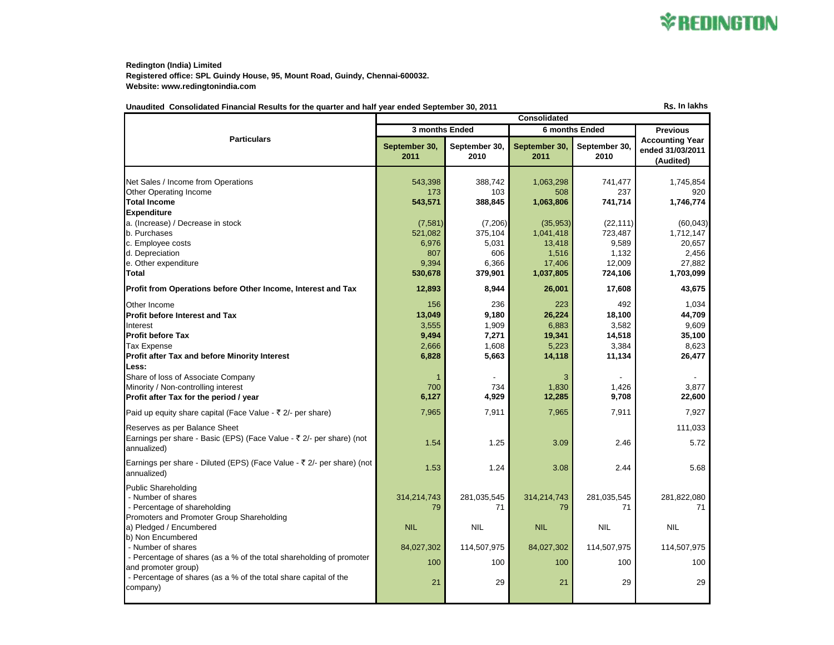

**Redington (India) Limited Registered office: SPL Guindy House, 95, Mount Road, Guindy, Chennai-600032. Website: www.redingtonindia.com**

| Unaudited Consolidated Financial Results for the quarter and half vear ended September 30, 2011 |  | <b>Rs. In lakhs</b> |
|-------------------------------------------------------------------------------------------------|--|---------------------|
|                                                                                                 |  |                     |

|                                                                        | <b>Consolidated</b>   |                       |                       |                       |                                                         |  |
|------------------------------------------------------------------------|-----------------------|-----------------------|-----------------------|-----------------------|---------------------------------------------------------|--|
|                                                                        | 3 months Ended        |                       | 6 months Ended        |                       | <b>Previous</b>                                         |  |
| <b>Particulars</b>                                                     | September 30,<br>2011 | September 30,<br>2010 | September 30,<br>2011 | September 30.<br>2010 | <b>Accounting Year</b><br>ended 31/03/2011<br>(Audited) |  |
|                                                                        |                       |                       |                       |                       |                                                         |  |
| Net Sales / Income from Operations                                     | 543,398               | 388,742               | 1,063,298             | 741,477<br>237        | 1,745,854                                               |  |
| Other Operating Income<br><b>Total Income</b>                          | 173<br>543,571        | 103<br>388,845        | 508<br>1,063,806      | 741,714               | 920<br>1,746,774                                        |  |
| <b>Expenditure</b>                                                     |                       |                       |                       |                       |                                                         |  |
| a. (Increase) / Decrease in stock                                      | (7,581)               | (7, 206)              | (35, 953)             | (22, 111)             | (60, 043)                                               |  |
| b. Purchases                                                           | 521,082               | 375,104               | 1,041,418             | 723,487               | 1,712,147                                               |  |
| c. Employee costs                                                      | 6,976                 | 5,031                 | 13,418                | 9,589                 | 20,657                                                  |  |
| d. Depreciation                                                        | 807                   | 606                   | 1,516                 | 1,132                 | 2,456                                                   |  |
| e. Other expenditure                                                   | 9,394                 | 6,366                 | 17,406                | 12,009                | 27,882                                                  |  |
| Total                                                                  | 530,678               | 379,901               | 1,037,805             | 724,106               | 1,703,099                                               |  |
| Profit from Operations before Other Income, Interest and Tax           | 12,893                | 8,944                 | 26,001                | 17,608                | 43,675                                                  |  |
| Other Income                                                           | 156                   | 236                   | 223                   | 492                   | 1,034                                                   |  |
| <b>Profit before Interest and Tax</b>                                  | 13,049                | 9,180                 | 26,224                | 18,100                | 44,709                                                  |  |
| Interest                                                               | 3,555                 | 1,909                 | 6,883                 | 3,582                 | 9,609                                                   |  |
| <b>Profit before Tax</b>                                               | 9,494                 | 7,271                 | 19,341                | 14,518                | 35,100                                                  |  |
| <b>Tax Expense</b>                                                     | 2,666                 | 1,608                 | 5,223                 | 3,384                 | 8,623                                                   |  |
| Profit after Tax and before Minority Interest                          | 6,828                 | 5,663                 | 14,118                | 11,134                | 26,477                                                  |  |
| Less:                                                                  |                       |                       |                       |                       |                                                         |  |
| Share of loss of Associate Company                                     |                       |                       | 3                     |                       |                                                         |  |
| Minority / Non-controlling interest                                    | 700                   | 734                   | 1,830                 | 1,426                 | 3.877                                                   |  |
| Profit after Tax for the period / year                                 | 6,127                 | 4,929                 | 12,285                | 9,708                 | 22,600                                                  |  |
| Paid up equity share capital (Face Value - ₹ 2/- per share)            | 7,965                 | 7,911                 | 7,965                 | 7,911                 | 7,927                                                   |  |
| Reserves as per Balance Sheet                                          |                       |                       |                       |                       | 111,033                                                 |  |
| Earnings per share - Basic (EPS) (Face Value - ₹ 2/- per share) (not   |                       |                       |                       |                       |                                                         |  |
| annualized)                                                            | 1.54                  | 1.25                  | 3.09                  | 2.46                  | 5.72                                                    |  |
| Earnings per share - Diluted (EPS) (Face Value - ₹ 2/- per share) (not | 1.53                  | 1.24                  | 3.08                  | 2.44                  | 5.68                                                    |  |
| annualized)                                                            |                       |                       |                       |                       |                                                         |  |
| <b>Public Shareholding</b>                                             |                       |                       |                       |                       |                                                         |  |
| - Number of shares                                                     | 314,214,743           | 281,035,545           | 314,214,743           | 281,035,545           | 281,822,080                                             |  |
| - Percentage of shareholding                                           | 79                    | 71                    | 79                    | 71                    | 71                                                      |  |
| Promoters and Promoter Group Shareholding                              |                       |                       |                       |                       |                                                         |  |
| a) Pledged / Encumbered                                                | <b>NIL</b>            | <b>NIL</b>            | <b>NIL</b>            | <b>NIL</b>            | <b>NIL</b>                                              |  |
| b) Non Encumbered<br>- Number of shares                                | 84,027,302            | 114,507,975           | 84,027,302            | 114,507,975           | 114,507,975                                             |  |
| - Percentage of shares (as a % of the total shareholding of promoter   |                       |                       |                       |                       |                                                         |  |
| and promoter group)                                                    | 100                   | 100                   | 100                   | 100                   | 100                                                     |  |
| - Percentage of shares (as a % of the total share capital of the       |                       |                       |                       |                       |                                                         |  |
| company)                                                               | 21                    | 29                    | 21                    | 29                    | 29                                                      |  |
|                                                                        |                       |                       |                       |                       |                                                         |  |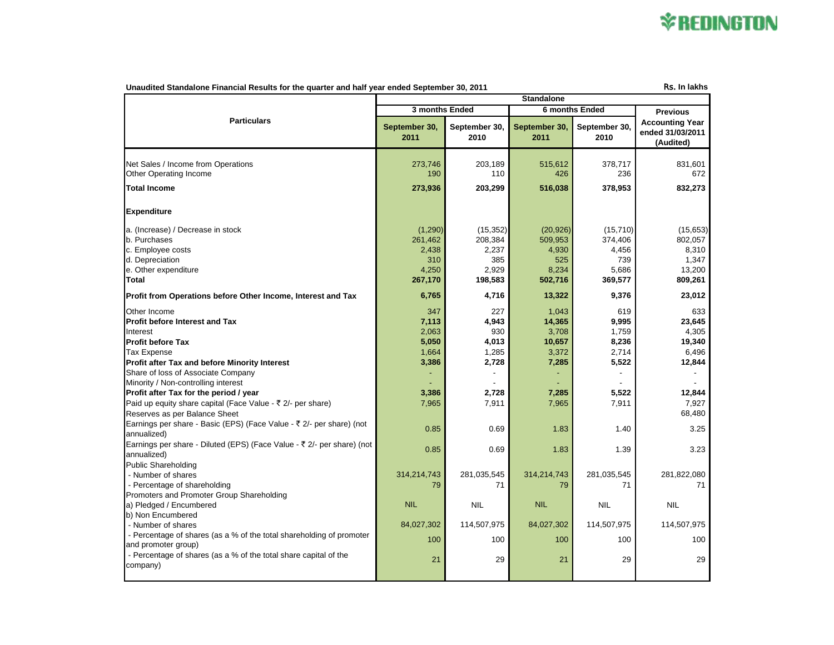## **\*REDINGTON**

| Rs. In lakhs<br>Unaudited Standalone Financial Results for the quarter and half year ended September 30, 2011                                                                                                                                                                                                                                                                                                                                                                                                                                                               |                                                                                    |                                                                                  |                                                                                        |                                                                                    |                                                                                                  |  |
|-----------------------------------------------------------------------------------------------------------------------------------------------------------------------------------------------------------------------------------------------------------------------------------------------------------------------------------------------------------------------------------------------------------------------------------------------------------------------------------------------------------------------------------------------------------------------------|------------------------------------------------------------------------------------|----------------------------------------------------------------------------------|----------------------------------------------------------------------------------------|------------------------------------------------------------------------------------|--------------------------------------------------------------------------------------------------|--|
| <b>Standalone</b>                                                                                                                                                                                                                                                                                                                                                                                                                                                                                                                                                           |                                                                                    |                                                                                  |                                                                                        |                                                                                    |                                                                                                  |  |
|                                                                                                                                                                                                                                                                                                                                                                                                                                                                                                                                                                             |                                                                                    | 3 months Ended                                                                   |                                                                                        | <b>6 months Ended</b>                                                              |                                                                                                  |  |
| <b>Particulars</b>                                                                                                                                                                                                                                                                                                                                                                                                                                                                                                                                                          | September 30,<br>2011                                                              | September 30,<br>2010                                                            | September 30,<br>2011                                                                  | September 30,<br>2010                                                              | <b>Accounting Year</b><br>ended 31/03/2011<br>(Audited)                                          |  |
| Net Sales / Income from Operations<br><b>Other Operating Income</b>                                                                                                                                                                                                                                                                                                                                                                                                                                                                                                         | 273,746<br>190                                                                     | 203,189<br>110                                                                   | 515,612<br>426                                                                         | 378,717<br>236                                                                     | 831,601<br>672                                                                                   |  |
| <b>Total Income</b>                                                                                                                                                                                                                                                                                                                                                                                                                                                                                                                                                         | 273,936                                                                            | 203,299                                                                          | 516,038                                                                                | 378,953                                                                            | 832,273                                                                                          |  |
| <b>Expenditure</b>                                                                                                                                                                                                                                                                                                                                                                                                                                                                                                                                                          |                                                                                    |                                                                                  |                                                                                        |                                                                                    |                                                                                                  |  |
| a. (Increase) / Decrease in stock<br>b. Purchases<br>c. Employee costs<br>d. Depreciation<br>e. Other expenditure<br>Total                                                                                                                                                                                                                                                                                                                                                                                                                                                  | (1,290)<br>261,462<br>2,438<br>310<br>4,250<br>267,170                             | (15, 352)<br>208,384<br>2,237<br>385<br>2,929<br>198,583                         | (20, 926)<br>509,953<br>4,930<br>525<br>8,234<br>502,716                               | (15, 710)<br>374,406<br>4,456<br>739<br>5,686<br>369,577                           | (15,653)<br>802,057<br>8,310<br>1,347<br>13,200<br>809,261                                       |  |
| Profit from Operations before Other Income, Interest and Tax                                                                                                                                                                                                                                                                                                                                                                                                                                                                                                                | 6,765                                                                              | 4,716                                                                            | 13,322                                                                                 | 9,376                                                                              | 23,012                                                                                           |  |
| Other Income<br><b>Profit before Interest and Tax</b><br>Interest<br><b>Profit before Tax</b><br><b>Tax Expense</b><br>Profit after Tax and before Minority Interest<br>Share of loss of Associate Company<br>Minority / Non-controlling interest<br>Profit after Tax for the period / year<br>Paid up equity share capital (Face Value - ₹ 2/- per share)<br>Reserves as per Balance Sheet<br>Earnings per share - Basic (EPS) (Face Value - ₹ 2/- per share) (not<br>annualized)<br>Earnings per share - Diluted (EPS) (Face Value - ₹ 2/- per share) (not<br>annualized) | 347<br>7,113<br>2,063<br>5,050<br>1,664<br>3,386<br>3,386<br>7,965<br>0.85<br>0.85 | 227<br>4,943<br>930<br>4,013<br>1,285<br>2,728<br>2,728<br>7,911<br>0.69<br>0.69 | 1,043<br>14,365<br>3,708<br>10,657<br>3,372<br>7,285<br>7,285<br>7,965<br>1.83<br>1.83 | 619<br>9,995<br>1,759<br>8,236<br>2,714<br>5,522<br>5,522<br>7,911<br>1.40<br>1.39 | 633<br>23,645<br>4,305<br>19,340<br>6,496<br>12,844<br>12,844<br>7,927<br>68,480<br>3.25<br>3.23 |  |
| <b>Public Shareholding</b><br>- Number of shares<br>- Percentage of shareholding<br>Promoters and Promoter Group Shareholding                                                                                                                                                                                                                                                                                                                                                                                                                                               | 314,214,743<br>79                                                                  | 281,035,545<br>71                                                                | 314,214,743<br>79                                                                      | 281,035,545<br>71                                                                  | 281,822,080<br>71                                                                                |  |
| a) Pledged / Encumbered<br>b) Non Encumbered                                                                                                                                                                                                                                                                                                                                                                                                                                                                                                                                | <b>NIL</b>                                                                         | <b>NIL</b>                                                                       | <b>NIL</b>                                                                             | <b>NIL</b>                                                                         | <b>NIL</b>                                                                                       |  |
| - Number of shares                                                                                                                                                                                                                                                                                                                                                                                                                                                                                                                                                          | 84,027,302                                                                         | 114,507,975                                                                      | 84,027,302                                                                             | 114,507,975                                                                        | 114,507,975                                                                                      |  |
| - Percentage of shares (as a % of the total shareholding of promoter<br>and promoter group)                                                                                                                                                                                                                                                                                                                                                                                                                                                                                 | 100                                                                                | 100                                                                              | 100                                                                                    | 100                                                                                | 100                                                                                              |  |
| - Percentage of shares (as a % of the total share capital of the<br>company)                                                                                                                                                                                                                                                                                                                                                                                                                                                                                                | 21                                                                                 | 29                                                                               | 21                                                                                     | 29                                                                                 | 29                                                                                               |  |